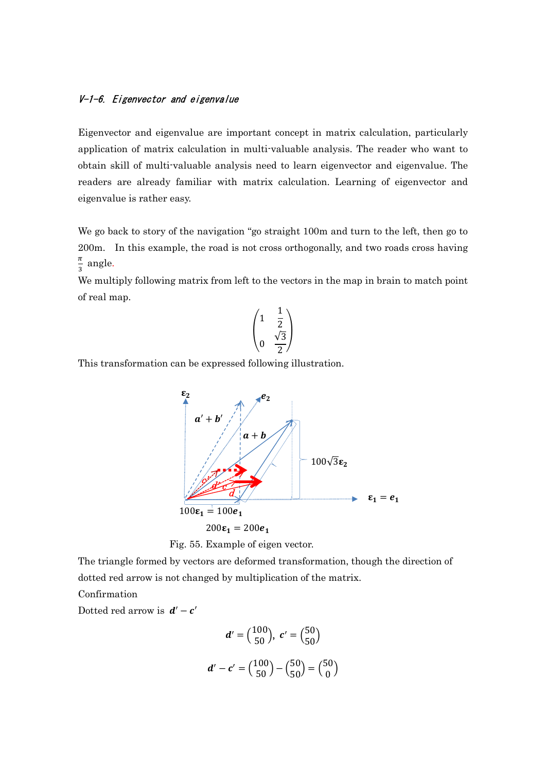## V-1-6. Eigenvector and eigenvalue

Eigenvector and eigenvalue are important concept in matrix calculation, particularly application of matrix calculation in multi-valuable analysis. The reader who want to obtain skill of multi-valuable analysis need to learn eigenvector and eigenvalue. The readers are already familiar with matrix calculation. Learning of eigenvector and eigenvalue is rather easy.

We go back to story of the navigation "go straight 100m and turn to the left, then go to 200m. In this example, the road is not cross orthogonally, and two roads cross having  $\pi$  $\frac{\pi}{3}$  angle.

We multiply following matrix from left to the vectors in the map in brain to match point of real map.

$$
\begin{pmatrix} 1 & \frac{1}{2} \\ & \frac{\sqrt{3}}{2} \end{pmatrix}
$$

This transformation can be expressed following illustration.





The triangle formed by vectors are deformed transformation, though the direction of dotted red arrow is not changed by multiplication of the matrix.

Confirmation

Dotted red arrow is  $d' - c'$ 

$$
d' = \begin{pmatrix} 100 \\ 50 \end{pmatrix}, \ c' = \begin{pmatrix} 50 \\ 50 \end{pmatrix}
$$

$$
d' - c' = \begin{pmatrix} 100 \\ 50 \end{pmatrix} - \begin{pmatrix} 50 \\ 50 \end{pmatrix} = \begin{pmatrix} 50 \\ 0 \end{pmatrix}
$$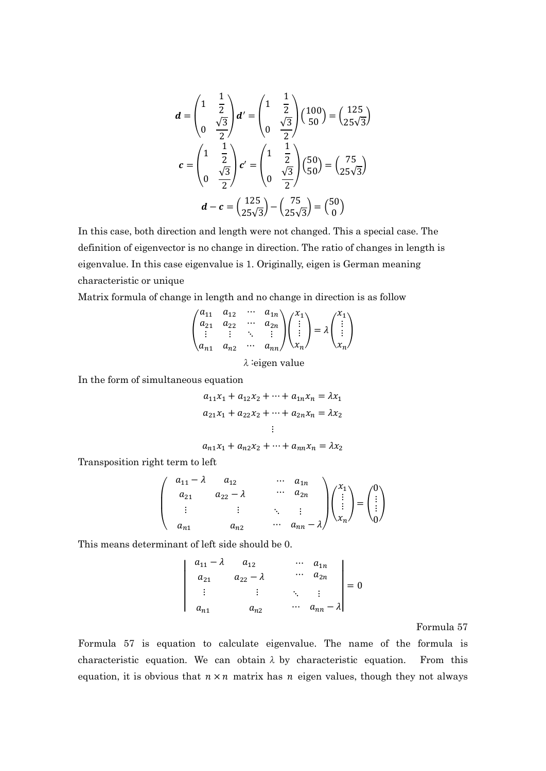$$
d = \begin{pmatrix} 1 & \frac{1}{2} \\ 0 & \frac{\sqrt{3}}{2} \end{pmatrix} d' = \begin{pmatrix} 1 & \frac{1}{2} \\ 0 & \frac{\sqrt{3}}{2} \end{pmatrix} \begin{pmatrix} 100 \\ 50 \end{pmatrix} = \begin{pmatrix} 125 \\ 25\sqrt{3} \end{pmatrix}
$$

$$
c = \begin{pmatrix} 1 & \frac{1}{2} \\ 0 & \frac{\sqrt{3}}{2} \end{pmatrix} c' = \begin{pmatrix} 1 & \frac{1}{2} \\ 0 & \frac{\sqrt{3}}{2} \end{pmatrix} \begin{pmatrix} 50 \\ 50 \end{pmatrix} = \begin{pmatrix} 75 \\ 25\sqrt{3} \end{pmatrix}
$$

$$
d - c = \begin{pmatrix} 125 \\ 25\sqrt{3} \end{pmatrix} - \begin{pmatrix} 75 \\ 25\sqrt{3} \end{pmatrix} = \begin{pmatrix} 50 \\ 0 \end{pmatrix}
$$

In this case, both direction and length were not changed. This a special case. The definition of eigenvector is no change in direction. The ratio of changes in length is eigenvalue. In this case eigenvalue is 1. Originally, eigen is German meaning characteristic or unique

Matrix formula of change in length and no change in direction is as follow

$$
\begin{pmatrix} a_{11} & a_{12} & \cdots & a_{1n} \\ a_{21} & a_{22} & \cdots & a_{2n} \\ \vdots & \vdots & \ddots & \vdots \\ a_{n1} & a_{n2} & \cdots & a_{nn} \end{pmatrix} \begin{pmatrix} x_1 \\ \vdots \\ x_n \end{pmatrix} = \lambda \begin{pmatrix} x_1 \\ \vdots \\ x_n \end{pmatrix}
$$

λ:eigen value

In the form of simultaneous equation

$$
a_{11}x_1 + a_{12}x_2 + \dots + a_{1n}x_n = \lambda x_1
$$
  

$$
a_{21}x_1 + a_{22}x_2 + \dots + a_{2n}x_n = \lambda x_2
$$
  
...

$$
a_{n1}x_1 + a_{n2}x_2 + \dots + a_{nn}x_n = \lambda x_2
$$

Transposition right term to left

$$
\begin{pmatrix} a_{11} - \lambda & a_{12} & \cdots & a_{1n} \\ a_{21} & a_{22} - \lambda & \cdots & a_{2n} \\ \vdots & \vdots & \ddots & \vdots \\ a_{n1} & a_{n2} & \cdots & a_{nn} - \lambda \end{pmatrix} \begin{pmatrix} x_1 \\ \vdots \\ x_n \end{pmatrix} = \begin{pmatrix} 0 \\ \vdots \\ 0 \end{pmatrix}
$$

This means determinant of left side should be 0.

$$
\begin{vmatrix} a_{11} - \lambda & a_{12} & \cdots & a_{1n} \\ a_{21} & a_{22} - \lambda & \cdots & a_{2n} \\ \vdots & \vdots & \ddots & \vdots \\ a_{n1} & a_{n2} & \cdots & a_{nn} - \lambda \end{vmatrix} = 0
$$

Formula 57

Formula 57 is equation to calculate eigenvalue. The name of the formula is characteristic equation. We can obtain  $\lambda$  by characteristic equation. From this equation, it is obvious that  $n \times n$  matrix has *n* eigen values, though they not always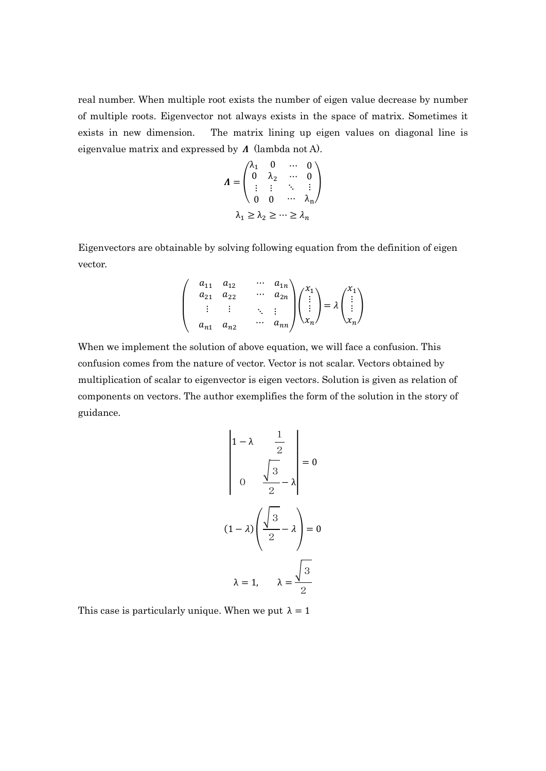real number. When multiple root exists the number of eigen value decrease by number of multiple roots. Eigenvector not always exists in the space of matrix. Sometimes it exists in new dimension. The matrix lining up eigen values on diagonal line is eigenvalue matrix and expressed by  $\Lambda$  (lambda not A).

$$
\boldsymbol{\Lambda} = \begin{pmatrix} \lambda_1 & 0 & \cdots & 0 \\ 0 & \lambda_2 & \cdots & 0 \\ \vdots & \vdots & \ddots & \vdots \\ 0 & 0 & \cdots & \lambda_n \end{pmatrix}
$$

$$
\lambda_1 \ge \lambda_2 \ge \cdots \ge \lambda_n
$$

Eigenvectors are obtainable by solving following equation from the definition of eigen vector.

$$
\begin{pmatrix}\n a_{11} & a_{12} & \cdots & a_{1n} \\
 a_{21} & a_{22} & \cdots & a_{2n} \\
 \vdots & \vdots & \ddots & \vdots \\
 a_{n1} & a_{n2} & \cdots & a_{nn}\n\end{pmatrix}\n\begin{pmatrix}\n x_1 \\
 \vdots \\
 x_n\n\end{pmatrix}\n=\n\lambda\n\begin{pmatrix}\n x_1 \\
 \vdots \\
 x_n\n\end{pmatrix}
$$

When we implement the solution of above equation, we will face a confusion. This confusion comes from the nature of vector. Vector is not scalar. Vectors obtained by multiplication of scalar to eigenvector is eigen vectors. Solution is given as relation of components on vectors. The author exemplifies the form of the solution in the story of guidance.

$$
\begin{vmatrix}\n1-\lambda & \frac{1}{2} \\
0 & \frac{\sqrt{3}}{2}-\lambda\n\end{vmatrix} = 0
$$
\n
$$
(1-\lambda)\left(\frac{\sqrt{3}}{2}-\lambda\right) = 0
$$
\n
$$
\lambda = 1, \quad \lambda = \frac{\sqrt{3}}{2}
$$

This case is particularly unique. When we put  $\lambda = 1$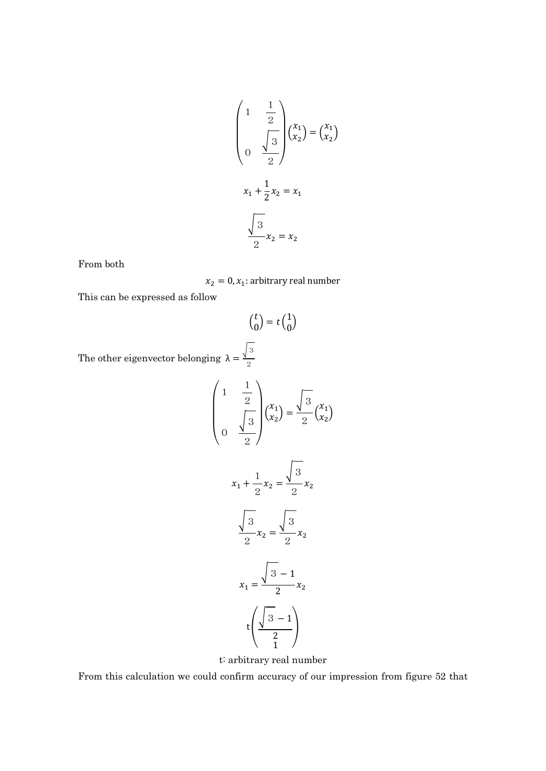$$
\begin{pmatrix} 1 & \frac{1}{2} \\ & \frac{1}{3} \\ 0 & \frac{\sqrt{3}}{2} \end{pmatrix} \begin{pmatrix} x_1 \\ x_2 \end{pmatrix} = \begin{pmatrix} x_1 \\ x_2 \end{pmatrix}
$$

$$
x_1 + \frac{1}{2}x_2 = x_1
$$

$$
\frac{\sqrt{3}}{2}x_2 = x_2
$$

From both

 $x_2 = 0, x_1$ : arbitrary real number

This can be expressed as follow

$$
\binom{t}{0} = t \binom{1}{0}
$$

The other eigenvector belonging  $\lambda = \frac{\sqrt{3}}{2}$ 2

$$
\begin{pmatrix} 1 & \frac{1}{2} \\ & \frac{1}{2} \\ 0 & \frac{\sqrt{3}}{2} \end{pmatrix} \begin{pmatrix} x_1 \\ x_2 \end{pmatrix} = \frac{\sqrt{3}}{2} \begin{pmatrix} x_1 \\ x_2 \end{pmatrix}
$$

$$
x_1 + \frac{1}{2} x_2 = \frac{\sqrt{3}}{2} x_2
$$

$$
\frac{\sqrt{3}}{2} x_2 = \frac{\sqrt{3}}{2} x_2
$$

$$
x_1 = \frac{\sqrt{3} - 1}{2} x_2
$$

$$
t \left( \frac{\sqrt{3} - 1}{2} \right)
$$

t: arbitrary real number

From this calculation we could confirm accuracy of our impression from figure 52 that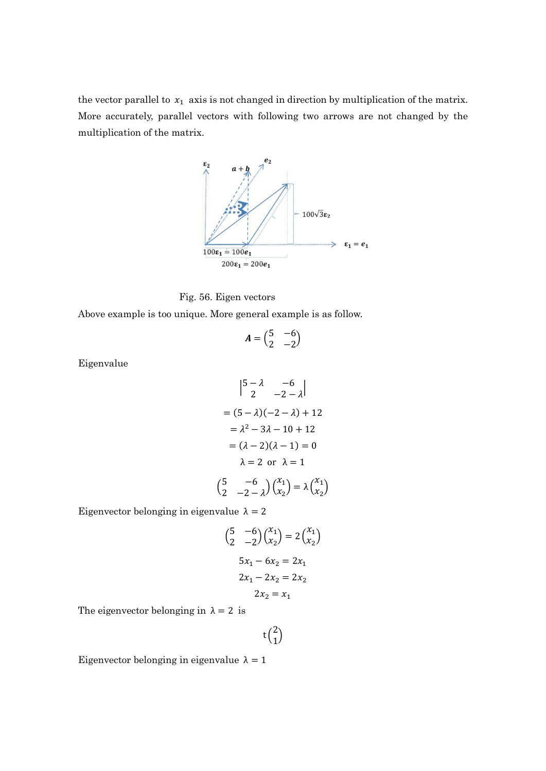the vector parallel to  $x_1$  axis is not changed in direction by multiplication of the matrix. More accurately, parallel vectors with following two arrows are not changed by the multiplication of the matrix.





Above example is too unique. More general example is as follow.

$$
A = \begin{pmatrix} 5 & -6 \\ 2 & -2 \end{pmatrix}
$$

Eigenvalue

$$
\begin{vmatrix} 5 - \lambda & -6 \\ 2 & -2 - \lambda \end{vmatrix}
$$
  
=  $(5 - \lambda)(-2 - \lambda) + 12$   
=  $\lambda^2 - 3\lambda - 10 + 12$   
=  $(\lambda - 2)(\lambda - 1) = 0$   
 $\lambda = 2 \text{ or } \lambda = 1$   
 $\begin{pmatrix} 5 & -6 \\ 2 & -2 - \lambda \end{pmatrix} \begin{pmatrix} x_1 \\ x_2 \end{pmatrix} = \lambda \begin{pmatrix} x_1 \\ x_2 \end{pmatrix}$ 

Eigenvector belonging in eigenvalue  $\lambda = 2$ 

$$
{5 \t-6 \choose 2} {x_1 \choose x_2} = 2 {x_1 \choose x_2}
$$
  
\n
$$
5x_1 - 6x_2 = 2x_1
$$
  
\n
$$
2x_1 - 2x_2 = 2x_2
$$
  
\n
$$
2x_2 = x_1
$$

The eigenvector belonging in  $\lambda = 2$  is

 $t\binom{2}{1}$  $\binom{2}{1}$ 

Eigenvector belonging in eigenvalue  $\lambda = 1$